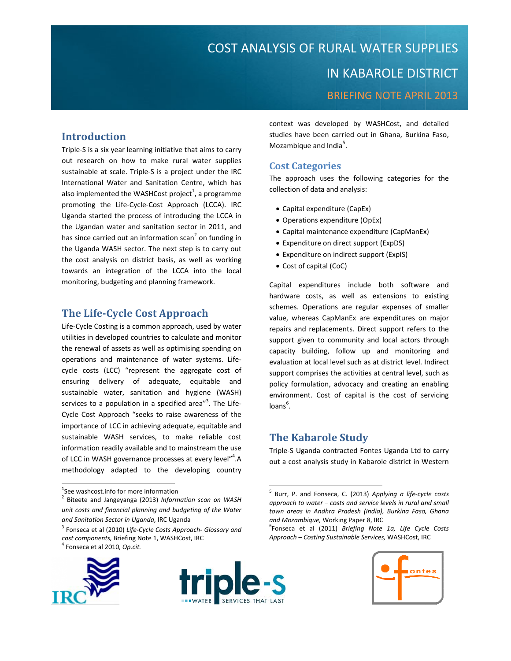# COST ANALYSIS OF RURAL WATER SUPPLIES **IN KABAROLE DISTRICT BRIEFING NOTE APRIL 2013**

# **Introduction**

Triple-S is a six year learning initiative that aims to carry out research on how to make rural water supplies sustainable at scale. Triple-S is a project under the IRC International Water and Sanitation Centre, which has also implemented the WASHCost project<sup>1</sup>, a programme promoting the Life-Cycle-Cost Approach (LCCA). IRC Uganda started the process of introducing the LCCA in the Ugandan water and sanitation sector in 2011, and has since carried out an information scan<sup>2</sup> on funding in the Uganda WASH sector. The next step is to carry out the cost analysis on district basis, as well as working towards an integration of the LCCA into the local monitoring, budgeting and planning framework.

# **The Life-Cycle Cost Approach**

Life-Cycle Costing is a common approach, used by water utilities in developed countries to calculate and monitor the renewal of assets as well as optimising spending on operations and maintenance of water systems. Lifecycle costs (LCC) "represent the aggregate cost of ensuring delivery of adequate, equitable and sustainable water, sanitation and hygiene (WASH) services to a population in a specified area"<sup>3</sup>. The Life-Cycle Cost Approach "seeks to raise awareness of the importance of LCC in achieving adequate, equitable and sustainable WASH services, to make reliable cost information readily available and to mainstream the use of LCC in WASH governance processes at every level"<sup>4</sup>.A methodology adapted to the developing country

<sup>&</sup>lt;sup>3</sup> Fonseca et al (2010) Life-Cycle Costs Approach- Glossary and cost components, Briefing Note 1, WASHCost, IRC <sup>I</sup> Fonseca et al 2010, Op.cit.





context was developed by WASHCost, and detailed studies have been carried out in Ghana, Burkina Faso, Mozambique and India<sup>5</sup>.

# **Cost Categories**

The approach uses the following categories for the collection of data and analysis:

- Capital expenditure (CapEx)
- Operations expenditure (OpEx)
- Capital maintenance expenditure (CapManEx)
- Expenditure on direct support (ExpDS)
- Expenditure on indirect support (ExpIS)
- Cost of capital (CoC)

Capital expenditures include both software and hardware costs, as well as extensions to existing schemes. Operations are regular expenses of smaller value, whereas CapManEx are expenditures on major repairs and replacements. Direct support refers to the support given to community and local actors through capacity building, follow up and monitoring and evaluation at local level such as at district level. Indirect support comprises the activities at central level, such as policy formulation, advocacy and creating an enabling environment. Cost of capital is the cost of servicing  $\mathsf{loans}^6$ .

# **The Kabarole Study**

Triple-S Uganda contracted Fontes Uganda Ltd to carry out a cost analysis study in Kabarole district in Western

<sup>&</sup>lt;sup>6</sup>Fonseca et al (2011) Briefing Note 1a, Life Cycle Costs Approach - Costing Sustainable Services, WASHCost, IRC



<sup>&</sup>lt;sup>1</sup>See washcost.info for more information

<sup>&</sup>lt;sup>2</sup> Biteete and Jangeyanga (2013) Information scan on WASH unit costs and financial planning and budgeting of the Water and Sanitation Sector in Uganda, IRC Uganda

<sup>&</sup>lt;sup>5</sup> Burr, P. and Fonseca, C. (2013) Applying a life-cycle costs approach to water – costs and service levels in rural and small town areas in Andhra Pradesh (India), Burkina Faso, Ghana and Mozambique, Working Paper 8, IRC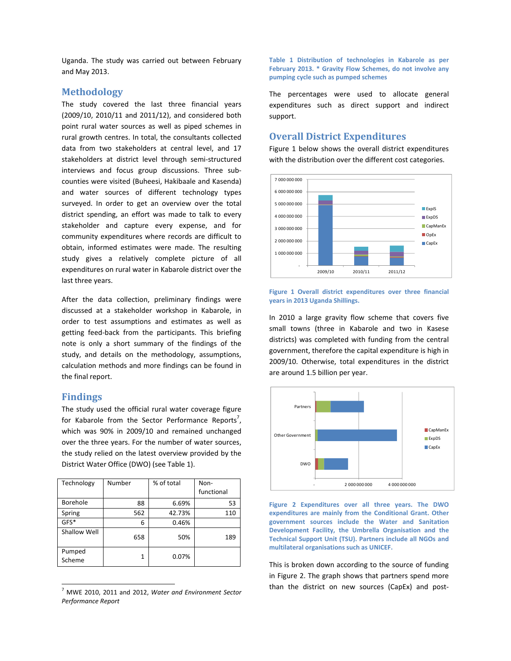Uganda. The study was carried out between February and May 2013.

### **Methodology**

The study covered the last three financial years (2009/10, 2010/11 and 2011/12), and considered both point rural water sources as well as piped schemes in rural growth centres. In total, the consultants collected data from two stakeholders at central level, and 17 stakeholders at district level through semi‐structured interviews and focus group discussions. Three sub‐ counties were visited (Buheesi, Hakibaale and Kasenda) and water sources of different technology types surveyed. In order to get an overview over the total district spending, an effort was made to talk to every stakeholder and capture every expense, and for community expenditures where records are difficult to obtain, informed estimates were made. The resulting study gives a relatively complete picture of all expenditures on rural water in Kabarole district over the last three years.

After the data collection, preliminary findings were discussed at a stakeholder workshop in Kabarole, in order to test assumptions and estimates as well as getting feed‐back from the participants. This briefing note is only a short summary of the findings of the study, and details on the methodology, assumptions, calculation methods and more findings can be found in the final report.

### **Findings**

The study used the official rural water coverage figure for Kabarole from the Sector Performance Reports<sup>7</sup>, which was 90% in 2009/10 and remained unchanged over the three years. For the number of water sources, the study relied on the latest overview provided by the District Water Office (DWO) (see Table 1).

| Technology       | Number | % of total | Non-<br>functional |
|------------------|--------|------------|--------------------|
| Borehole         | 88     | 6.69%      | 53                 |
| Spring           | 562    | 42.73%     | 110                |
| $GFS^*$          | 6      | 0.46%      |                    |
| Shallow Well     | 658    | 50%        | 189                |
| Pumped<br>Scheme | 1      | 0.07%      |                    |

<sup>7</sup> MWE 2010, 2011 and 2012, *Water and Environment Sector Performance Report*

<u> 1989 - Johann Barn, mars ar breithinn ar chuid ann an t-</u>

**Table 1 Distribution of technologies in Kabarole as per February 2013. \* Gravity Flow Schemes, do not involve any pumping cycle such as pumped schemes**

The percentages were used to allocate general expenditures such as direct support and indirect support.

## **Overall District Expenditures**

Figure 1 below shows the overall district expenditures with the distribution over the different cost categories.



#### **Figure 1 Overall district expenditures over three financial years in 2013 Uganda Shillings.**

In 2010 a large gravity flow scheme that covers five small towns (three in Kabarole and two in Kasese districts) was completed with funding from the central government, therefore the capital expenditure is high in 2009/10. Otherwise, total expenditures in the district are around 1.5 billion per year.





This is broken down according to the source of funding in Figure 2. The graph shows that partners spend more than the district on new sources (CapEx) and post‐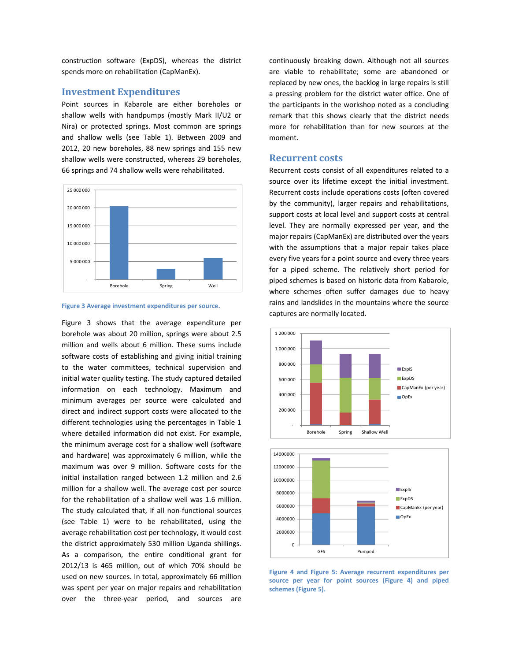construction software (ExpDS), whereas the district spends more on rehabilitation (CapManEx).

### **Investment Expenditures**

Point sources in Kabarole are either boreholes or shallow wells with handpumps (mostly Mark II/U2 or Nira) or protected springs. Most common are springs and shallow wells (see Table 1). Between 2009 and 2012, 20 new boreholes, 88 new springs and 155 new shallow wells were constructed, whereas 29 boreholes, 66 springs and 74 shallow wells were rehabilitated.



**Figure 3 Average investment expenditures per source.**

Figure 3 shows that the average expenditure per borehole was about 20 million, springs were about 2.5 million and wells about 6 million. These sums include software costs of establishing and giving initial training to the water committees, technical supervision and initial water quality testing. The study captured detailed information on each technology. Maximum and minimum averages per source were calculated and direct and indirect support costs were allocated to the different technologies using the percentages in Table 1 where detailed information did not exist. For example, the minimum average cost for a shallow well (software and hardware) was approximately 6 million, while the maximum was over 9 million. Software costs for the initial installation ranged between 1.2 million and 2.6 million for a shallow well. The average cost per source for the rehabilitation of a shallow well was 1.6 million. The study calculated that, if all non-functional sources (see Table 1) were to be rehabilitated, using the average rehabilitation cost per technology, it would cost the district approximately 530 million Uganda shillings. As a comparison, the entire conditional grant for 2012/13 is 465 million, out of which 70% should be used on new sources. In total, approximately 66 million was spent per year on major repairs and rehabilitation over the three‐year period, and sources are

continuously breaking down. Although not all sources are viable to rehabilitate; some are abandoned or replaced by new ones, the backlog in large repairs is still a pressing problem for the district water office. One of the participants in the workshop noted as a concluding remark that this shows clearly that the district needs more for rehabilitation than for new sources at the moment.

#### **Recurrent costs**

Recurrent costs consist of all expenditures related to a source over its lifetime except the initial investment. Recurrent costs include operations costs (often covered by the community), larger repairs and rehabilitations, support costs at local level and support costs at central level. They are normally expressed per year, and the major repairs (CapManEx) are distributed over the years with the assumptions that a major repair takes place every five years for a point source and every three years for a piped scheme. The relatively short period for piped schemes is based on historic data from Kabarole, where schemes often suffer damages due to heavy rains and landslides in the mountains where the source captures are normally located.





**Figure 4 and Figure 5: Average recurrent expenditures per source per year for point sources (Figure 4) and piped schemes (Figure 5).**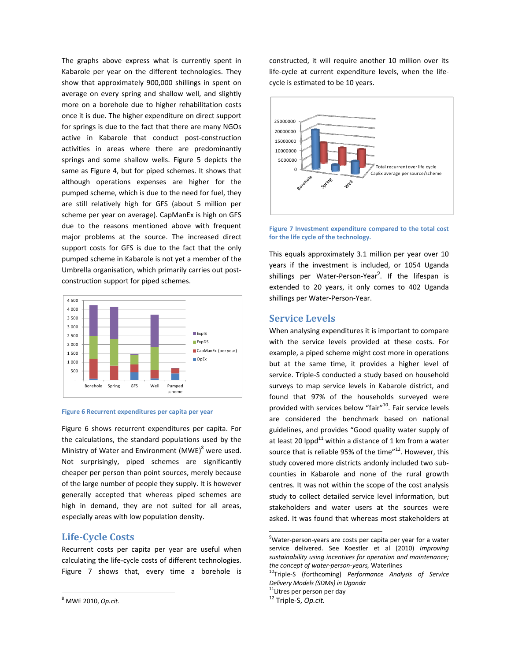The graphs above express what is currently spent in Kabarole per year on the different technologies. They show that approximately 900,000 shillings in spent on average on every spring and shallow well, and slightly more on a borehole due to higher rehabilitation costs once it is due. The higher expenditure on direct support for springs is due to the fact that there are many NGOs active in Kabarole that conduct post-construction activities in areas where there are predominantly springs and some shallow wells. Figure 5 depicts the same as Figure 4, but for piped schemes. It shows that although operations expenses are higher for the pumped scheme, which is due to the need for fuel, they are still relatively high for GFS (about 5 million per scheme per year on average). CapManEx is high on GFS due to the reasons mentioned above with frequent major problems at the source. The increased direct support costs for GFS is due to the fact that the only pumped scheme in Kabarole is not yet a member of the Umbrella organisation, which primarily carries out post‐ construction support for piped schemes.



#### **Figure 6 Recurrent expenditures per capita per year**

Figure 6 shows recurrent expenditures per capita. For the calculations, the standard populations used by the Ministry of Water and Environment  $(MWE)^8$  were used. Not surprisingly, piped schemes are significantly cheaper per person than point sources, merely because of the large number of people they supply. It is however generally accepted that whereas piped schemes are high in demand, they are not suited for all areas, especially areas with low population density.

## **Life‐Cycle Costs**

Recurrent costs per capita per year are useful when calculating the life‐cycle costs of different technologies. Figure 7 shows that, every time a borehole is

constructed, it will require another 10 million over its life‐cycle at current expenditure levels, when the life‐ cycle is estimated to be 10 years.



**Figure 7 Investment expenditure compared to the total cost for the life cycle of the technology.**

This equals approximately 3.1 million per year over 10 years if the investment is included, or 1054 Uganda shillings per Water-Person-Year<sup>9</sup>. If the lifespan is extended to 20 years, it only comes to 402 Uganda shillings per Water‐Person‐Year.

## **Service Levels**

When analysing expenditures it is important to compare with the service levels provided at these costs. For example, a piped scheme might cost more in operations but at the same time, it provides a higher level of service. Triple‐S conducted a study based on household surveys to map service levels in Kabarole district, and found that 97% of the households surveyed were provided with services below "fair"<sup>10</sup>. Fair service levels are considered the benchmark based on national guidelines, and provides "Good quality water supply of at least 20 lppd $^{11}$  within a distance of 1 km from a water source that is reliable 95% of the time" $12$ . However, this study covered more districts andonly included two sub‐ counties in Kabarole and none of the rural growth centres. It was not within the scope of the cost analysis study to collect detailed service level information, but stakeholders and water users at the sources were asked. It was found that whereas most stakeholders at

<sup>8</sup> MWE 2010, *Op.cit.*

<sup>&</sup>lt;sup>9</sup>Water-person-years are costs per capita per year for a water service delivered. See Koestler et al (2010) *Improving sustainability using incentives for operation and maintenance; the concept of water‐person‐years,* Waterlines 10Triple‐<sup>S</sup> (forthcoming) *Performance Analysis of Service*

*Delivery Models (SDMs) in Uganda* 11Litres per person per day <sup>12</sup> Triple‐S, *Op.cit.*